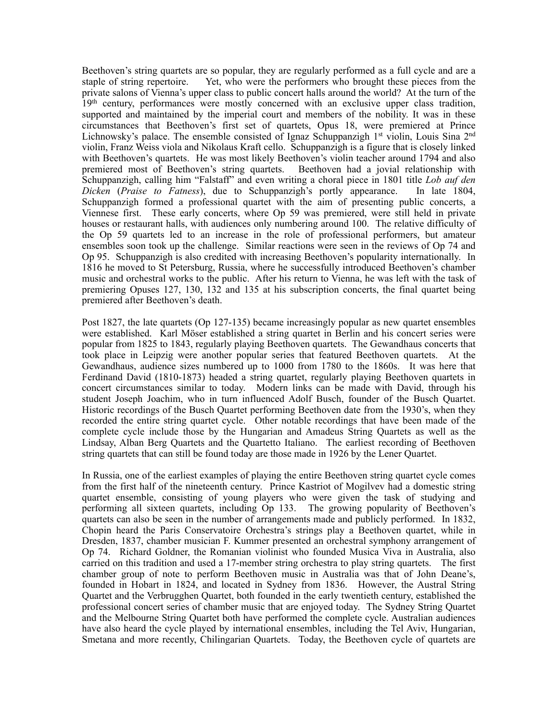Beethoven's string quartets are so popular, they are regularly performed as a full cycle and are a staple of string repertoire. Yet, who were the performers who brought these pieces from the private salons of Vienna's upper class to public concert halls around the world? At the turn of the 19th century, performances were mostly concerned with an exclusive upper class tradition, supported and maintained by the imperial court and members of the nobility. It was in these circumstances that Beethoven's first set of quartets, Opus 18, were premiered at Prince Lichnowsky's palace. The ensemble consisted of Ignaz Schuppanzigh 1<sup>st</sup> violin, Louis Sina 2<sup>nd</sup> violin, Franz Weiss viola and Nikolaus Kraft cello. Schuppanzigh is a figure that is closely linked with Beethoven's quartets. He was most likely Beethoven's violin teacher around 1794 and also premiered most of Beethoven's string quartets. Beethoven had a jovial relationship with Schuppanzigh, calling him "Falstaff" and even writing a choral piece in 1801 title *Lob auf den Dicken* (*Praise to Fatness*), due to Schuppanzigh's portly appearance. In late 1804, Schuppanzigh formed a professional quartet with the aim of presenting public concerts, a Viennese first. These early concerts, where Op 59 was premiered, were still held in private houses or restaurant halls, with audiences only numbering around 100. The relative difficulty of the Op 59 quartets led to an increase in the role of professional performers, but amateur ensembles soon took up the challenge. Similar reactions were seen in the reviews of Op 74 and Op 95. Schuppanzigh is also credited with increasing Beethoven's popularity internationally. In 1816 he moved to St Petersburg, Russia, where he successfully introduced Beethoven's chamber music and orchestral works to the public. After his return to Vienna, he was left with the task of premiering Opuses 127, 130, 132 and 135 at his subscription concerts, the final quartet being premiered after Beethoven's death.

Post 1827, the late quartets (Op 127-135) became increasingly popular as new quartet ensembles were established. Karl Möser established a string quartet in Berlin and his concert series were popular from 1825 to 1843, regularly playing Beethoven quartets. The Gewandhaus concerts that took place in Leipzig were another popular series that featured Beethoven quartets. At the Gewandhaus, audience sizes numbered up to 1000 from 1780 to the 1860s. It was here that Ferdinand David (1810-1873) headed a string quartet, regularly playing Beethoven quartets in concert circumstances similar to today. Modern links can be made with David, through his student Joseph Joachim, who in turn influenced Adolf Busch, founder of the Busch Quartet. Historic recordings of the Busch Quartet performing Beethoven date from the 1930's, when they recorded the entire string quartet cycle. Other notable recordings that have been made of the complete cycle include those by the Hungarian and Amadeus String Quartets as well as the Lindsay, Alban Berg Quartets and the Quartetto Italiano. The earliest recording of Beethoven string quartets that can still be found today are those made in 1926 by the Lener Quartet.

In Russia, one of the earliest examples of playing the entire Beethoven string quartet cycle comes from the first half of the nineteenth century. Prince Kastriot of Mogilvev had a domestic string quartet ensemble, consisting of young players who were given the task of studying and performing all sixteen quartets, including Op 133. The growing popularity of Beethoven's quartets can also be seen in the number of arrangements made and publicly performed. In 1832, Chopin heard the Paris Conservatoire Orchestra's strings play a Beethoven quartet, while in Dresden, 1837, chamber musician F. Kummer presented an orchestral symphony arrangement of Op 74. Richard Goldner, the Romanian violinist who founded Musica Viva in Australia, also carried on this tradition and used a 17-member string orchestra to play string quartets. The first chamber group of note to perform Beethoven music in Australia was that of John Deane's, founded in Hobart in 1824, and located in Sydney from 1836. However, the Austral String Quartet and the Verbrugghen Quartet, both founded in the early twentieth century, established the professional concert series of chamber music that are enjoyed today. The Sydney String Quartet and the Melbourne String Quartet both have performed the complete cycle. Australian audiences have also heard the cycle played by international ensembles, including the Tel Aviv, Hungarian, Smetana and more recently, Chilingarian Quartets. Today, the Beethoven cycle of quartets are